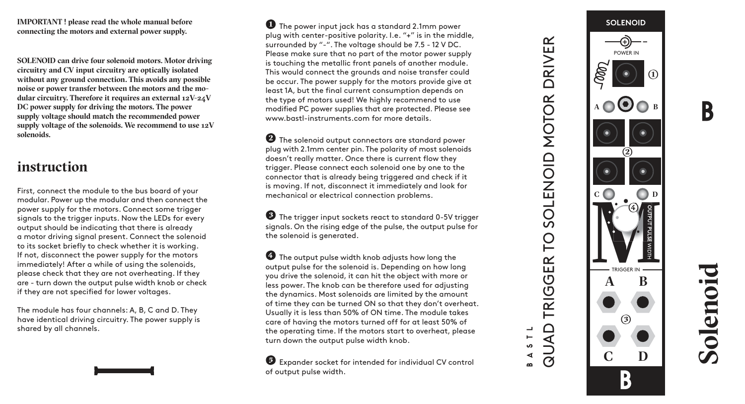**IMPORTANT ! please read the whole manual before connecting the motors and external power supply.** 

**SOLENOID can drive four solenoid motors. Motor driving circuitry and CV input circuitry are optically isolated without any ground connection. This avoids any possible noise or power transfer between the motors and the modular circuitry. Therefore it requires an external 12V-24V DC power supply for driving the motors. The power supply voltage should match the recommended power supply voltage of the solenoids. We recommend to use 12V solenoids.**

## **instruction**

First, connect the module to the bus board of your modular. Power up the modular and then connect the power supply for the motors. Connect some trigger signals to the trigger inputs. Now the LEDs for every output should be indicating that there is already a motor driving signal present. Connect the solenoid to its socket briefly to check whether it is working. If not, disconnect the power supply for the motors immediately! After a while of using the solenoids, please check that they are not overheating. If they are - turn down the output pulse width knob or check if they are not specified for lower voltages.

The module has four channels: A, B, C and D. They have identical driving circuitry. The power supply is shared by all channels.

**1** The power input jack has a standard 2.1mm power plug with center-positive polarity. I.e. "+" is in the middle, surrounded by "-". The voltage should be 7.5 - 12 V DC. Please make sure that no part of the motor power supply is touching the metallic front panels of another module. This would connect the grounds and noise transfer could be occur. The power supply for the motors provide give at least 1A, but the final current consumption depends on the type of motors used! We highly recommend to use modified PC power supplies that are protected. Please see www.bastl-instruments.com for more details

**2** The solenoid output connectors are standard power plug with 2.1mm center pin. The polarity of most solenoids doesn't really matter. Once there is current flow they trigger. Please connect each solenoid one by one to the connector that is already being triggered and check if it is moving. If not, disconnect it immediately and look for mechanical or electrical connection problems.

**3** The trigger input sockets react to standard 0-5V trigger signals. On the rising edge of the pulse, the output pulse for the solenoid is generated.

**4** The output pulse width knob adjusts how long the output pulse for the solenoid is. Depending on how long you drive the solenoid, it can hit the object with more or less power. The knob can be therefore used for adjusting the dynamics. Most solenoids are limited by the amount of time they can be turned ON so that they don't overheat. Usually it is less than 50% of ON time. The module takes care of having the motors turned off for at least 50% of the operating time. If the motors start to overheat, please turn down the output pulse width knob.

**5** Expander socket for intended for individual CV control of output pulse width.



**Solenoid**

R

QUAD TRIGGER TO SOLENOID MOTOR DRIVER

**PD** 

TRIGGER

QUAD ဖ ∢

SOLENOID MOTOR

**DRIVER**